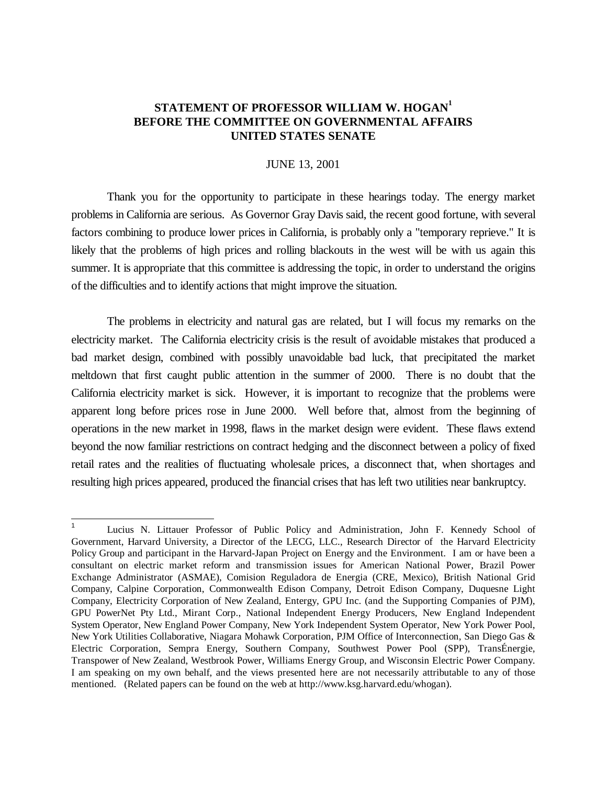## **STATEMENT OF PROFESSOR WILLIAM W. HOGAN<sup>1</sup> BEFORE THE COMMITTEE ON GOVERNMENTAL AFFAIRS UNITED STATES SENATE**

## JUNE 13, 2001

Thank you for the opportunity to participate in these hearings today. The energy market problems in California are serious. As Governor Gray Davis said, the recent good fortune, with several factors combining to produce lower prices in California, is probably only a "temporary reprieve." It is likely that the problems of high prices and rolling blackouts in the west will be with us again this summer. It is appropriate that this committee is addressing the topic, in order to understand the origins of the difficulties and to identify actions that might improve the situation.

The problems in electricity and natural gas are related, but I will focus my remarks on the electricity market. The California electricity crisis is the result of avoidable mistakes that produced a bad market design, combined with possibly unavoidable bad luck, that precipitated the market meltdown that first caught public attention in the summer of 2000. There is no doubt that the California electricity market is sick. However, it is important to recognize that the problems were apparent long before prices rose in June 2000. Well before that, almost from the beginning of operations in the new market in 1998, flaws in the market design were evident. These flaws extend beyond the now familiar restrictions on contract hedging and the disconnect between a policy of fixed retail rates and the realities of fluctuating wholesale prices, a disconnect that, when shortages and resulting high prices appeared, produced the financial crises that has left two utilities near bankruptcy.

l

<sup>1</sup> Lucius N. Littauer Professor of Public Policy and Administration, John F. Kennedy School of Government, Harvard University, a Director of the LECG, LLC., Research Director of the Harvard Electricity Policy Group and participant in the Harvard-Japan Project on Energy and the Environment. I am or have been a consultant on electric market reform and transmission issues for American National Power, Brazil Power Exchange Administrator (ASMAE), Comision Reguladora de Energia (CRE, Mexico), British National Grid Company, Calpine Corporation, Commonwealth Edison Company, Detroit Edison Company, Duquesne Light Company, Electricity Corporation of New Zealand, Entergy, GPU Inc. (and the Supporting Companies of PJM), GPU PowerNet Pty Ltd., Mirant Corp., National Independent Energy Producers, New England Independent System Operator, New England Power Company, New York Independent System Operator, New York Power Pool, New York Utilities Collaborative, Niagara Mohawk Corporation, PJM Office of Interconnection, San Diego Gas & Electric Corporation, Sempra Energy, Southern Company, Southwest Power Pool (SPP), TransÉnergie, Transpower of New Zealand, Westbrook Power, Williams Energy Group, and Wisconsin Electric Power Company. I am speaking on my own behalf, and the views presented here are not necessarily attributable to any of those mentioned. (Related papers can be found on the web at http://www.ksg.harvard.edu/whogan).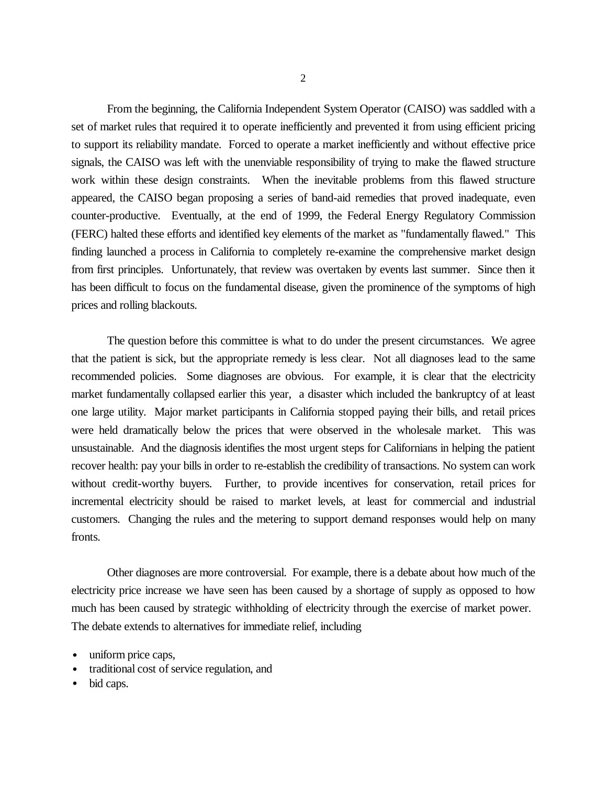From the beginning, the California Independent System Operator (CAISO) was saddled with a set of market rules that required it to operate inefficiently and prevented it from using efficient pricing to support its reliability mandate. Forced to operate a market inefficiently and without effective price signals, the CAISO was left with the unenviable responsibility of trying to make the flawed structure work within these design constraints. When the inevitable problems from this flawed structure appeared, the CAISO began proposing a series of band-aid remedies that proved inadequate, even counter-productive. Eventually, at the end of 1999, the Federal Energy Regulatory Commission (FERC) halted these efforts and identified key elements of the market as "fundamentally flawed." This finding launched a process in California to completely re-examine the comprehensive market design from first principles. Unfortunately, that review was overtaken by events last summer. Since then it has been difficult to focus on the fundamental disease, given the prominence of the symptoms of high prices and rolling blackouts.

The question before this committee is what to do under the present circumstances. We agree that the patient is sick, but the appropriate remedy is less clear. Not all diagnoses lead to the same recommended policies. Some diagnoses are obvious. For example, it is clear that the electricity market fundamentally collapsed earlier this year, a disaster which included the bankruptcy of at least one large utility. Major market participants in California stopped paying their bills, and retail prices were held dramatically below the prices that were observed in the wholesale market. This was unsustainable. And the diagnosis identifies the most urgent steps for Californians in helping the patient recover health: pay your bills in order to re-establish the credibility of transactions. No system can work without credit-worthy buyers. Further, to provide incentives for conservation, retail prices for incremental electricity should be raised to market levels, at least for commercial and industrial customers. Changing the rules and the metering to support demand responses would help on many fronts.

Other diagnoses are more controversial. For example, there is a debate about how much of the electricity price increase we have seen has been caused by a shortage of supply as opposed to how much has been caused by strategic withholding of electricity through the exercise of market power. The debate extends to alternatives for immediate relief, including

- traditional cost of service regulation, and
- bid caps.

uniform price caps,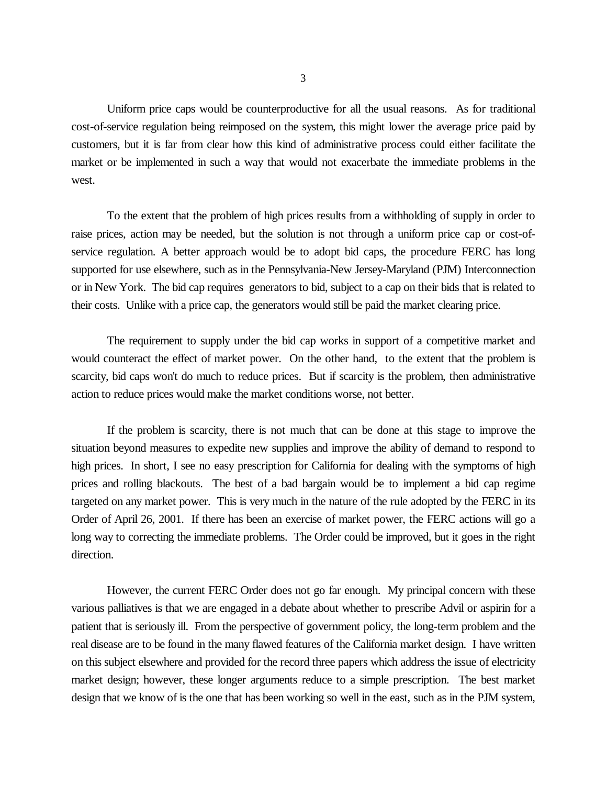3

Uniform price caps would be counterproductive for all the usual reasons. As for traditional cost-of-service regulation being reimposed on the system, this might lower the average price paid by customers, but it is far from clear how this kind of administrative process could either facilitate the market or be implemented in such a way that would not exacerbate the immediate problems in the west.

To the extent that the problem of high prices results from a withholding of supply in order to raise prices, action may be needed, but the solution is not through a uniform price cap or cost-ofservice regulation. A better approach would be to adopt bid caps, the procedure FERC has long supported for use elsewhere, such as in the Pennsylvania-New Jersey-Maryland (PJM) Interconnection or in New York. The bid cap requires generators to bid, subject to a cap on their bids that is related to their costs. Unlike with a price cap, the generators would still be paid the market clearing price.

The requirement to supply under the bid cap works in support of a competitive market and would counteract the effect of market power. On the other hand, to the extent that the problem is scarcity, bid caps won't do much to reduce prices. But if scarcity is the problem, then administrative action to reduce prices would make the market conditions worse, not better.

If the problem is scarcity, there is not much that can be done at this stage to improve the situation beyond measures to expedite new supplies and improve the ability of demand to respond to high prices. In short, I see no easy prescription for California for dealing with the symptoms of high prices and rolling blackouts. The best of a bad bargain would be to implement a bid cap regime targeted on any market power. This is very much in the nature of the rule adopted by the FERC in its Order of April 26, 2001. If there has been an exercise of market power, the FERC actions will go a long way to correcting the immediate problems. The Order could be improved, but it goes in the right direction.

However, the current FERC Order does not go far enough. My principal concern with these various palliatives is that we are engaged in a debate about whether to prescribe Advil or aspirin for a patient that is seriously ill. From the perspective of government policy, the long-term problem and the real disease are to be found in the many flawed features of the California market design. I have written on this subject elsewhere and provided for the record three papers which address the issue of electricity market design; however, these longer arguments reduce to a simple prescription. The best market design that we know of is the one that has been working so well in the east, such as in the PJM system,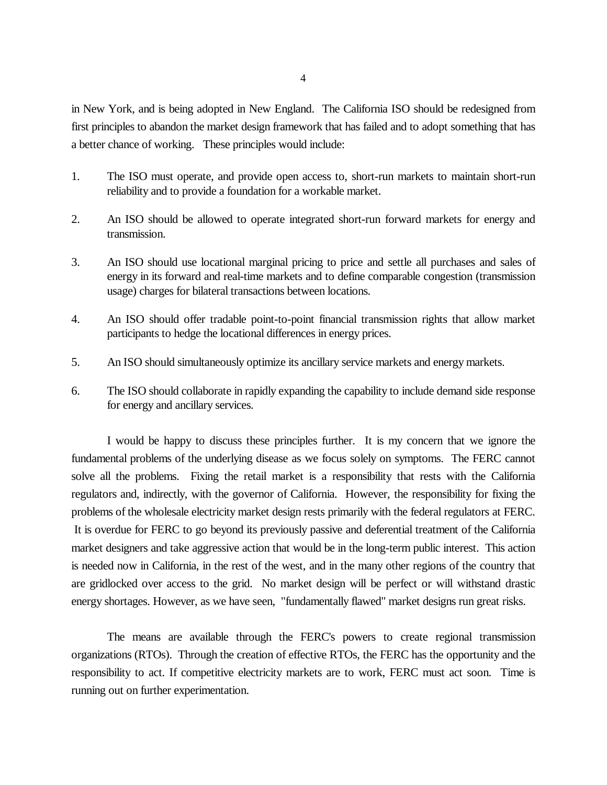in New York, and is being adopted in New England. The California ISO should be redesigned from first principles to abandon the market design framework that has failed and to adopt something that has a better chance of working. These principles would include:

- 1. The ISO must operate, and provide open access to, short-run markets to maintain short-run reliability and to provide a foundation for a workable market.
- 2. An ISO should be allowed to operate integrated short-run forward markets for energy and transmission.
- 3. An ISO should use locational marginal pricing to price and settle all purchases and sales of energy in its forward and real-time markets and to define comparable congestion (transmission usage) charges for bilateral transactions between locations.
- 4. An ISO should offer tradable point-to-point financial transmission rights that allow market participants to hedge the locational differences in energy prices.
- 5. An ISO should simultaneously optimize its ancillary service markets and energy markets.
- 6. The ISO should collaborate in rapidly expanding the capability to include demand side response for energy and ancillary services.

I would be happy to discuss these principles further. It is my concern that we ignore the fundamental problems of the underlying disease as we focus solely on symptoms. The FERC cannot solve all the problems. Fixing the retail market is a responsibility that rests with the California regulators and, indirectly, with the governor of California. However, the responsibility for fixing the problems of the wholesale electricity market design rests primarily with the federal regulators at FERC. It is overdue for FERC to go beyond its previously passive and deferential treatment of the California market designers and take aggressive action that would be in the long-term public interest. This action is needed now in California, in the rest of the west, and in the many other regions of the country that are gridlocked over access to the grid. No market design will be perfect or will withstand drastic energy shortages. However, as we have seen, "fundamentally flawed" market designs run great risks.

The means are available through the FERC's powers to create regional transmission organizations (RTOs). Through the creation of effective RTOs, the FERC has the opportunity and the responsibility to act. If competitive electricity markets are to work, FERC must act soon. Time is running out on further experimentation.